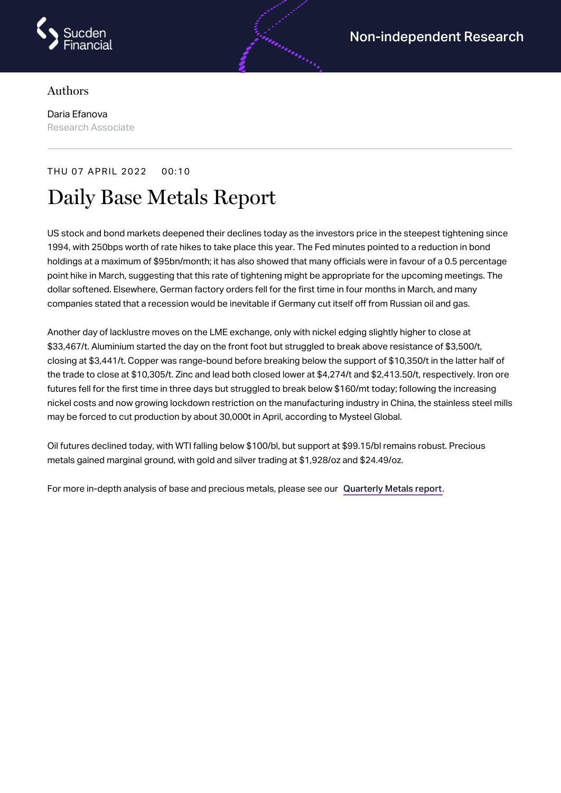

## Authors

Daria Efanova Research Associate

## THU 07 APRIL 2022 00:10 Daily Base Metals Report

US stock and bond markets deepened their declines today as the investors price in the steepest tightening since 1994, with 250bps worth of rate hikes to take place this year. The Fed minutes pointed to a reduction in bond holdings at a maximum of \$95bn/month; it has also showed that many officials were in favour of a 0.5 percentage point hike in March, suggesting that this rate of tightening might be appropriate for the upcoming meetings. The dollar softened. Elsewhere, German factory orders fell for the first time in four months in March, and many companies stated that a recession would be inevitable if Germany cut itself off from Russian oil and gas.

Another day of lacklustre moves on the LME exchange, only with nickel edging slightly higher to close at \$33,467/t. Aluminium started the day on the front foot but struggled to break above resistance of \$3,500/t, closing at \$3,441/t. Copper was range-bound before breaking below the support of \$10,350/t in the latter half of the trade to close at \$10,305/t. Zinc and lead both closed lower at \$4,274/t and \$2,413.50/t, respectively. Iron ore futures fell for the first time in three days but struggled to break below \$160/mt today; following the increasing nickel costs and now growing lockdown restriction on the manufacturing industry in China, the stainless steel mills may be forced to cut production by about 30,000t in April, according to Mysteel Global.

Oil futures declined today, with WTI falling below \$100/bl, but support at \$99.15/bl remains robust. Precious metals gained marginal ground, with gold and silver trading at \$1,928/oz and \$24.49/oz.

For more in-depth analysis of base and precious metals, please see our [Quarterly](https://www.sucdenfinancial.com/en/reports/quarterly-metals/qmr-q1-2022/) Metals report.